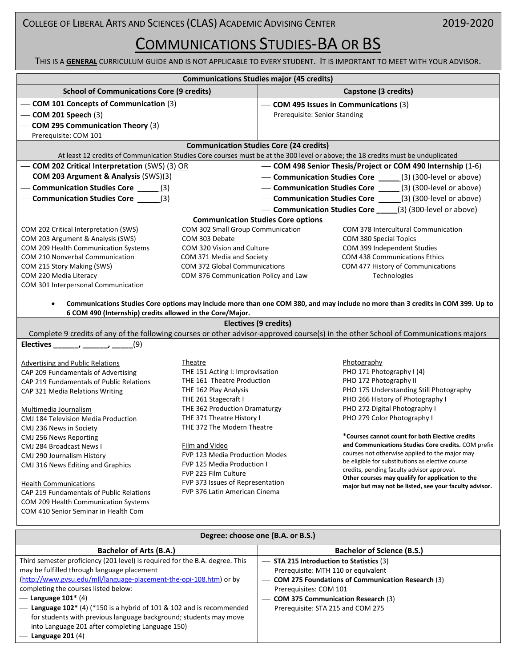THIS IS A **GENERAL** CURRICULUM GUIDE AND IS NOT APPLICABLE TO EVERY STUDENT. IT IS IMPORTANT TO MEET WITH YOUR ADVISOR.

**Communications Studies major (45 credits)**

|                                                                                                                                  | Communications Studies major (45 credits)                                    |                                                                           |                                                                                                                                     |  |  |
|----------------------------------------------------------------------------------------------------------------------------------|------------------------------------------------------------------------------|---------------------------------------------------------------------------|-------------------------------------------------------------------------------------------------------------------------------------|--|--|
| <b>School of Communications Core (9 credits)</b>                                                                                 |                                                                              |                                                                           | Capstone (3 credits)                                                                                                                |  |  |
| - COM 101 Concepts of Communication (3)                                                                                          |                                                                              | - COM 495 Issues in Communications (3)                                    |                                                                                                                                     |  |  |
| $-$ COM 201 Speech (3)                                                                                                           |                                                                              | Prerequisite: Senior Standing                                             |                                                                                                                                     |  |  |
| - COM 295 Communication Theory (3)                                                                                               |                                                                              |                                                                           |                                                                                                                                     |  |  |
| Prerequisite: COM 101                                                                                                            |                                                                              |                                                                           |                                                                                                                                     |  |  |
| <b>Communication Studies Core (24 credits)</b>                                                                                   |                                                                              |                                                                           |                                                                                                                                     |  |  |
| At least 12 credits of Communication Studies Core courses must be at the 300 level or above; the 18 credits must be unduplicated |                                                                              |                                                                           |                                                                                                                                     |  |  |
| - COM 202 Critical Interpretation (SWS) (3) OR                                                                                   |                                                                              |                                                                           | - COM 498 Senior Thesis/Project or COM 490 Internship (1-6)                                                                         |  |  |
| COM 203 Argument & Analysis (SWS)(3)                                                                                             |                                                                              |                                                                           | - Communication Studies Core _____(3) (300-level or above)                                                                          |  |  |
| - Communication Studies Core ______(3)                                                                                           |                                                                              |                                                                           | - Communication Studies Core _____(3) (300-level or above)                                                                          |  |  |
| - Communication Studies Core ______(3)                                                                                           |                                                                              |                                                                           | - Communication Studies Core _____(3) (300-level or above)                                                                          |  |  |
|                                                                                                                                  |                                                                              |                                                                           | - Communication Studies Core ____(3) (300-level or above)                                                                           |  |  |
|                                                                                                                                  |                                                                              | <b>Communication Studies Core options</b>                                 |                                                                                                                                     |  |  |
| COM 202 Critical Interpretation (SWS)                                                                                            | COM 302 Small Group Communication                                            |                                                                           | COM 378 Intercultural Communication                                                                                                 |  |  |
| COM 203 Argument & Analysis (SWS)                                                                                                | COM 303 Debate                                                               |                                                                           | COM 380 Special Topics                                                                                                              |  |  |
| COM 209 Health Communication Systems                                                                                             | COM 320 Vision and Culture                                                   |                                                                           | COM 399 Independent Studies                                                                                                         |  |  |
| COM 210 Nonverbal Communication                                                                                                  | COM 371 Media and Society                                                    |                                                                           | <b>COM 438 Communications Ethics</b>                                                                                                |  |  |
| COM 215 Story Making (SWS)<br>COM 220 Media Literacy                                                                             | <b>COM 372 Global Communications</b><br>COM 376 Communication Policy and Law |                                                                           | COM 477 History of Communications                                                                                                   |  |  |
| COM 301 Interpersonal Communication                                                                                              |                                                                              |                                                                           | Technologies                                                                                                                        |  |  |
|                                                                                                                                  |                                                                              |                                                                           |                                                                                                                                     |  |  |
| $\bullet$                                                                                                                        |                                                                              |                                                                           | Communications Studies Core options may include more than one COM 380, and may include no more than 3 credits in COM 399. Up to     |  |  |
| 6 COM 490 (Internship) credits allowed in the Core/Major.                                                                        |                                                                              |                                                                           |                                                                                                                                     |  |  |
|                                                                                                                                  |                                                                              | <b>Electives (9 credits)</b>                                              |                                                                                                                                     |  |  |
|                                                                                                                                  |                                                                              |                                                                           | Complete 9 credits of any of the following courses or other advisor-approved course(s) in the other School of Communications majors |  |  |
| (9)                                                                                                                              |                                                                              |                                                                           |                                                                                                                                     |  |  |
|                                                                                                                                  |                                                                              |                                                                           |                                                                                                                                     |  |  |
| <b>Advertising and Public Relations</b>                                                                                          | Theatre                                                                      |                                                                           | Photography                                                                                                                         |  |  |
| CAP 209 Fundamentals of Advertising                                                                                              | THE 151 Acting I: Improvisation                                              |                                                                           | PHO 171 Photography I (4)                                                                                                           |  |  |
| CAP 219 Fundamentals of Public Relations                                                                                         | THE 161 Theatre Production                                                   |                                                                           | PHO 172 Photography II                                                                                                              |  |  |
| CAP 321 Media Relations Writing                                                                                                  | THE 162 Play Analysis                                                        |                                                                           | PHO 175 Understanding Still Photography<br>PHO 266 History of Photography I                                                         |  |  |
| Multimedia Journalism                                                                                                            | THE 261 Stagecraft I<br>THE 362 Production Dramaturgy                        |                                                                           | PHO 272 Digital Photography I                                                                                                       |  |  |
| <b>CMJ 184 Television Media Production</b>                                                                                       | THE 371 Theatre History I                                                    |                                                                           | PHO 279 Color Photography I                                                                                                         |  |  |
| CMJ 236 News in Society                                                                                                          | THE 372 The Modern Theatre                                                   |                                                                           |                                                                                                                                     |  |  |
| CMJ 256 News Reporting                                                                                                           |                                                                              |                                                                           | *Courses cannot count for both Elective credits                                                                                     |  |  |
| CMJ 284 Broadcast News I                                                                                                         | Film and Video                                                               |                                                                           | and Communications Studies Core credits. COM prefix                                                                                 |  |  |
| <b>CMJ 290 Journalism History</b>                                                                                                | FVP 123 Media Production Modes                                               |                                                                           | courses not otherwise applied to the major may<br>be eligible for substitutions as elective course                                  |  |  |
| CMJ 316 News Editing and Graphics                                                                                                | FVP 125 Media Production I                                                   |                                                                           | credits, pending faculty advisor approval.                                                                                          |  |  |
|                                                                                                                                  | FVP 225 Film Culture                                                         |                                                                           | Other courses may qualify for application to the                                                                                    |  |  |
| <b>Health Communications</b>                                                                                                     | FVP 373 Issues of Representation<br><b>FVP 376 Latin American Cinema</b>     |                                                                           | major but may not be listed, see your faculty advisor.                                                                              |  |  |
| CAP 219 Fundamentals of Public Relations<br>COM 209 Health Communication Systems                                                 |                                                                              |                                                                           |                                                                                                                                     |  |  |
| COM 410 Senior Seminar in Health Com                                                                                             |                                                                              |                                                                           |                                                                                                                                     |  |  |
|                                                                                                                                  |                                                                              |                                                                           |                                                                                                                                     |  |  |
| Degree: choose one (B.A. or B.S.)                                                                                                |                                                                              |                                                                           |                                                                                                                                     |  |  |
|                                                                                                                                  |                                                                              |                                                                           |                                                                                                                                     |  |  |
| <b>Bachelor of Arts (B.A.)</b>                                                                                                   |                                                                              |                                                                           | <b>Bachelor of Science (B.S.)</b>                                                                                                   |  |  |
| Third semester proficiency (201 level) is required for the B.A. degree. This                                                     |                                                                              | STA 215 Introduction to Statistics (3)                                    |                                                                                                                                     |  |  |
| may be fulfilled through language placement                                                                                      |                                                                              | Prerequisite: MTH 110 or equivalent                                       |                                                                                                                                     |  |  |
| (http://www.gvsu.edu/mll/language-placement-the-opi-108.htm) or by                                                               |                                                                              | - COM 275 Foundations of Communication Research (3)                       |                                                                                                                                     |  |  |
| completing the courses listed below:<br>— Language $101*$ (4)                                                                    |                                                                              | Prerequisites: COM 101                                                    |                                                                                                                                     |  |  |
| - Language $102^*$ (4) (*150 is a hybrid of 101 & 102 and is recommended                                                         |                                                                              | - COM 375 Communication Research (3)<br>Prerequisite: STA 215 and COM 275 |                                                                                                                                     |  |  |
| for students with previous language background; students may move                                                                |                                                                              |                                                                           |                                                                                                                                     |  |  |
| into Language 201 after completing Language 150)                                                                                 |                                                                              |                                                                           |                                                                                                                                     |  |  |
| Language $201(4)$                                                                                                                |                                                                              |                                                                           |                                                                                                                                     |  |  |
|                                                                                                                                  |                                                                              |                                                                           |                                                                                                                                     |  |  |
|                                                                                                                                  |                                                                              |                                                                           |                                                                                                                                     |  |  |